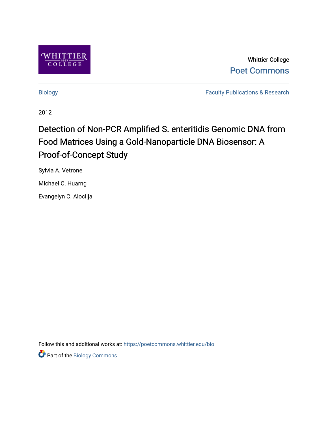

Whittier College [Poet Commons](https://poetcommons.whittier.edu/) 

[Biology](https://poetcommons.whittier.edu/bio) [Faculty Publications & Research](https://poetcommons.whittier.edu/faculty) 

2012

# Detection of Non-PCR Amplified S. enteritidis Genomic DNA from Food Matrices Using a Gold-Nanoparticle DNA Biosensor: A Proof-of-Concept Study

Sylvia A. Vetrone

Michael C. Huarng

Evangelyn C. Alocilja

Follow this and additional works at: [https://poetcommons.whittier.edu/bio](https://poetcommons.whittier.edu/bio?utm_source=poetcommons.whittier.edu%2Fbio%2F30&utm_medium=PDF&utm_campaign=PDFCoverPages)

Part of the [Biology Commons](http://network.bepress.com/hgg/discipline/41?utm_source=poetcommons.whittier.edu%2Fbio%2F30&utm_medium=PDF&utm_campaign=PDFCoverPages)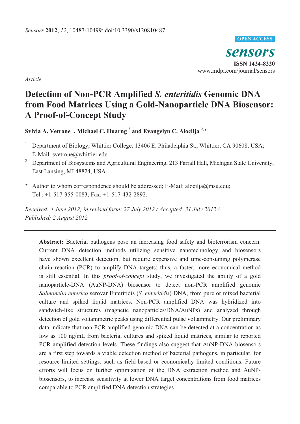#### **OPEN ACCESS**

*sensors* **ISSN 1424-8220**  www.mdpi.com/journal/sensors

*Article* 

# **Detection of Non-PCR Amplified** *S. enteritidis* **Genomic DNA from Food Matrices Using a Gold-Nanoparticle DNA Biosensor: A Proof-of-Concept Study**

**Sylvia A. Vetrone 1 , Michael C. Huarng 2 and Evangelyn C. Alocilja 2,\***

- 1 Department of Biology, Whittier College, 13406 E. Philadelphia St., Whittier, CA 90608, USA; E-Mail: svetrone@whittier.edu
- 2 Department of Biosystems and Agricultural Engineering, 213 Farrall Hall, Michigan State University, East Lansing, MI 48824, USA
- **\*** Author to whom correspondence should be addressed; E-Mail: alocilja@msu.edu; Tel.: +1-517-355-0083; Fax: +1-517-432-2892.

*Received: 4 June 2012; in revised form: 27 July 2012 / Accepted: 31 July 2012 / Published: 2 August 2012* 

**Abstract:** Bacterial pathogens pose an increasing food safety and bioterrorism concern. Current DNA detection methods utilizing sensitive nanotechnology and biosensors have shown excellent detection, but require expensive and time-consuming polymerase chain reaction (PCR) to amplify DNA targets; thus, a faster, more economical method is still essential. In this *proof-of-concept* study, we investigated the ability of a gold nanoparticle-DNA (AuNP-DNA) biosensor to detect non-PCR amplified genomic *Salmonella enterica* serovar Enteritidis (*S. enteritidis*) DNA, from pure or mixed bacterial culture and spiked liquid matrices. Non-PCR amplified DNA was hybridized into sandwich-like structures (magnetic nanoparticles/DNA/AuNPs) and analyzed through detection of gold voltammetric peaks using differential pulse voltammetry. Our preliminary data indicate that non-PCR amplified genomic DNA can be detected at a concentration as low as 100 ng/mL from bacterial cultures and spiked liquid matrices, similar to reported PCR amplified detection levels. These findings also suggest that AuNP-DNA biosensors are a first step towards a viable detection method of bacterial pathogens, in particular, for resource-limited settings, such as field-based or economically limited conditions. Future efforts will focus on further optimization of the DNA extraction method and AuNPbiosensors, to increase sensitivity at lower DNA target concentrations from food matrices comparable to PCR amplified DNA detection strategies.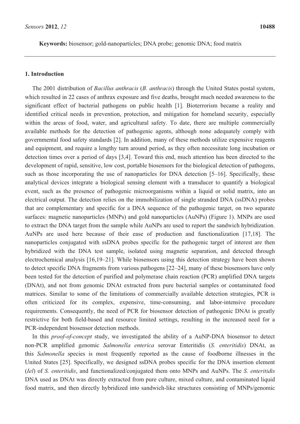**Keywords:** biosensor; gold-nanoparticles; DNA probe; genomic DNA; food matrix

#### **1. Introduction**

The 2001 distribution of *Bacillus anthracis* (*B. anthracis*) through the United States postal system, which resulted in 22 cases of anthrax exposure and five deaths, brought much needed awareness to the significant effect of bacterial pathogens on public health [1]. Bioterrorism became a reality and identified critical needs in prevention, protection, and mitigation for homeland security, especially within the areas of food, water, and agricultural safety. To date, there are multiple commercially available methods for the detection of pathogenic agents, although none adequately comply with governmental food safety standards [2]. In addition, many of these methods utilize expensive reagents and equipment, and require a lengthy turn around period, as they often necessitate long incubation or detection times over a period of days [3,4]. Toward this end, much attention has been directed to the development of rapid, sensitive, low cost, portable biosensors for the biological detection of pathogens, such as those incorporating the use of nanoparticles for DNA detection [5–16]. Specifically, these analytical devices integrate a biological sensing element with a transducer to quantify a biological event, such as the presence of pathogenic microorganisms within a liquid or solid matrix, into an electrical output. The detection relies on the immobilization of single stranded DNA (ssDNA) probes that are complementary and specific for a DNA sequence of the pathogenic target, on two separate surfaces: magnetic nanoparticles (MNPs) and gold nanoparticles (AuNPs) (Figure 1). MNPs are used to extract the DNA target from the sample while AuNPs are used to report the sandwich hybridization. AuNPs are used here because of their ease of production and functionalization [17,18]. The nanoparticles conjugated with ssDNA probes specific for the pathogenic target of interest are then hybridized with the DNA test sample, isolated using magnetic separation, and detected through electrochemical analysis [16,19–21]. While biosensors using this detection strategy have been shown to detect specific DNA fragments from various pathogens [22–24], many of these biosensors have only been tested for the detection of purified and polymerase chain reaction (PCR) amplified DNA targets (DNAt), and not from genomic DNAt extracted from pure bacterial samples or contaminated food matrices. Similar to some of the limitations of commercially available detection strategies, PCR is often criticized for its complex, expensive, time-consuming, and labor-intensive procedure requirements. Consequently, the need of PCR for biosensor detection of pathogenic DNAt is greatly restrictive for both field-based and resource limited settings, resulting in the increased need for a PCR-independent biosensor detection methods.

In this *proof-of-concept* study, we investigated the ability of a AuNP-DNA biosensor to detect non-PCR amplified genomic *Salmonella enterica* serovar Enteritidis (*S. enteritidis*) DNAt, as this *Salmonella* species is most frequently reported as the cause of foodborne illnesses in the United States [25]. Specifically, we designed ssDNA probes specific for the DNA insertion element (*Iel*) of *S. enteritidis*, and functionalized/conjugated them onto MNPs and AuNPs. The *S. enteritidis* DNA used as DNAt was directly extracted from pure culture, mixed culture, and contaminated liquid food matrix, and then directly hybridized into sandwich-like structures consisting of MNPs/genomic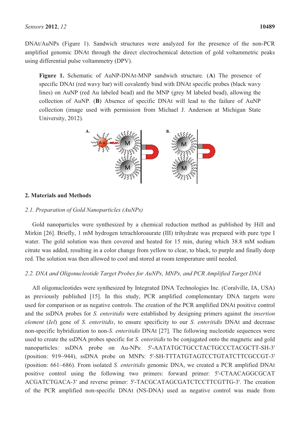DNAt/AuNPs (Figure 1). Sandwich structures were analyzed for the presence of the non-PCR amplified genomic DNAt through the direct electrochemical detection of gold voltammetric peaks using differential pulse voltammetry (DPV).

**Figure 1.** Schematic of AuNP-DNAt-MNP sandwich structure. (**A**) The presence of specific DNAt (red wavy bar) will covalently bind with DNAt specific probes (black wavy lines) on AuNP (red Au labeled bead) and the MNP (grey M labeled bead), allowing the collection of AuNP. (**B**) Absence of specific DNAt will lead to the failure of AuNP collection (image used with permission from Michael J. Anderson at Michigan State University, 2012).



# **2. Materials and Methods**

### *2.1. Preparation of Gold Nanoparticles (AuNPs)*

Gold nanoparticles were synthesized by a chemical reduction method as published by Hill and Mirkin [26]. Briefly, 1 mM hydrogen tetrachloroaurate (III) trihydrate was prepared with pure type I water. The gold solution was then covered and heated for 15 min, during which 38.8 mM sodium citrate was added, resulting in a color change from yellow to clear, to black, to purple and finally deep red. The solution was then allowed to cool and stored at room temperature until needed.

# *2.2. DNA and Oligonucleotide Target Probes for AuNPs, MNPs, and PCR Amplified Target DNA*

All oligonucleotides were synthesized by Integrated DNA Technologies Inc. (Coralville, IA, USA) as previously published [15]. In this study, PCR amplified complementary DNA targets were used for comparison or as negative controls. The creation of the PCR amplified DNAt positive control and the ssDNA probes for *S. enteritidis* were established by designing primers against the *insertion element* (*Iel*) gene of *S. enteritidis*, to ensure specificity to our *S. enteritidis* DNAt and decrease non-specific hybridization to non-*S. enteritidis* DNAt [27]. The following nucleotide sequences were used to create the ssDNA probes specific for *S. enteritidis* to be conjugated onto the magnetic and gold nanoparticles: ssDNA probe on Au-NPs: 5'-AATATGCTGCCTACTGCCCTACGCTT-SH-3' (position: 919~944), ssDNA probe on MNPs: 5'-SH-TTTATGTAGTCCTGTATCTTCGCCGT-3' (position: 661~686). From isolated *S. enteritidis* genomic DNA, we created a PCR amplified DNAt positive control using the following two primers: forward primer: 5'-CTAACAGGCGCAT ACGATCTGACA-3' and reverse primer: 5'-TACGCATAGCGATCTCCTTCGTTG-3'. The creation of the PCR amplified non-specific DNAt (NS-DNA) used as negative control was made from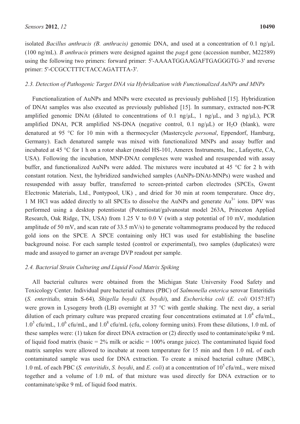isolated *Bacillus anthracis (B. anthracis)* genomic DNA, and used at a concentration of 0.1 ng/μL (100 ng/mL). *B anthracis* primers were designed against the *pagA* gene (accession number, M22589) using the following two primers: forward primer: 5'-AAAATGGAAGAFTGAGGGTG-3' and reverse primer: 5'-CCGCCTTTCTACCAGATTTA-3'.

#### *2.3. Detection of Pathogenic Target DNA via Hybridization with Functionalized AuNPs and MNPs*

Functionalization of AuNPs and MNPs were executed as previously published [15]. Hybridization of DNAt samples was also executed as previously published [15]. In summary, extracted non-PCR amplified genomic DNAt (diluted to concentrations of 0.1 ng/ $\mu$ L, 1 ng/ $\mu$ L, and 3 ng/ $\mu$ L), PCR amplified DNAt, PCR amplified NS-DNA (negative control,  $0.1 \text{ ng/}\mu\text{L}$ ) or  $H_2O$  (blank), were denatured at 95 °C for 10 min with a thermocycler (Mastercycle *personal*, Eppendorf, Hamburg, Germany). Each denatured sample was mixed with functionalized MNPs and assay buffer and incubated at 45 °C for 1 h on a rotor shaker (model HS-101, Amerex Instruments, Inc., Lafayette, CA, USA). Following the incubation, MNP-DNAt complexes were washed and resuspended with assay buffer, and functionalized AuNPs were added. The mixtures were incubated at 45 °C for 2 h with constant rotation. Next, the hybridized sandwiched samples (AuNPs-DNAt-MNPs) were washed and resuspended with assay buffer, transferred to screen-printed carbon electrodes (SPCEs, Gwent Electronic Materials, Ltd., Pontypool, UK) , and dried for 30 min at room temperature. Once dry, 1 M HCl was added directly to all SPCEs to dissolve the AuNPs and generate  $Au^{3+}$  ions. DPV was performed using a desktop potentiostat (Potentiostat/galvanostat model 263A, Princeton Applied Research, Oak Ridge, TN, USA) from 1.25 V to 0.0 V (with a step potential of 10 mV, modulation amplitude of 50 mV, and scan rate of 33.5 mV/s) to generate voltammograms produced by the reduced gold ions on the SPCE. A SPCE containing only HCl was used for establishing the baseline background noise. For each sample tested (control or experimental), two samples (duplicates) were made and assayed to garner an average DVP readout per sample.

### *2.4. Bacterial Strain Culturing and Liquid Food Matrix Spiking*

All bacterial cultures were obtained from the Michigan State University Food Safety and Toxicology Center. Individual pure bacterial cultures (PBC) of *Salmonella enterica* serovar Enteritidis (*S. enteritidis,* strain S-64)*, Shigella boydii* (*S. boydii*), and *Escherichia coli* (*E. coli* O157:H7) were grown in Lysogeny broth (LB) overnight at 37 °C with gentle shaking. The next day, a serial dilution of each primary culture was prepared creating four concentrations estimated at  $1.0^4$  cfu/mL,  $1.0^5$  cfu/mL,  $1.0^6$  cfu/mL, and  $1.0^8$  cfu/mL (cfu, colony forming units). From these dilutions, 1.0 mL of these samples were: (1) taken for direct DNA extraction or (2) directly used to contaminate/spike 9 mL of liquid food matrix (basic =  $2\%$  milk or acidic =  $100\%$  orange juice). The contaminated liquid food matrix samples were allowed to incubate at room temperature for 15 min and then 1.0 mL of each contaminated sample was used for DNA extraction. To create a mixed bacterial culture (MBC), 1.0 mL of each PBC (*S. enteritidis*, *S. boydii*, and *E. coli*) at a concentration of 105 cfu/mL, were mixed together and a volume of 1.0 mL of that mixture was used directly for DNA extraction or to contaminate/spike 9 mL of liquid food matrix.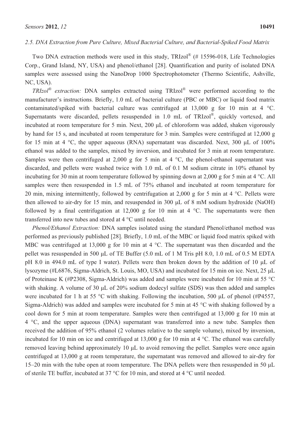#### *2.5. DNA Extraction from Pure Culture, Mixed Bacterial Culture, and Bacterial-Spiked Food Matrix*

Two DNA extraction methods were used in this study, TRIzol® (# 15596-018, Life Technologies Corp., Grand Island, NY, USA) and phenol/ethanol [28]. Quantification and purity of isolated DNA samples were assessed using the NanoDrop 1000 Spectrophotometer (Thermo Scientific, Ashville, NC, USA).

*TRIzol® extraction:* DNA samples extracted using TRIzol® were performed according to the manufacturer's instructions. Briefly, 1.0 mL of bacterial culture (PBC or MBC) or liquid food matrix contaminated/spiked with bacterial culture was centrifuged at 13,000 g for 10 min at 4 °C. Supernatants were discarded, pellets resuspended in 1.0 mL of TRIzol®, quickly vortexed, and incubated at room temperature for 5 min. Next, 200 µL of chloroform was added, shaken vigorously by hand for 15 s, and incubated at room temperature for 3 min. Samples were centrifuged at 12,000 g for 15 min at 4  $\degree$ C, the upper aqueous (RNA) supernatant was discarded. Next, 300 µL of 100% ethanol was added to the samples, mixed by inversion, and incubated for 3 min at room temperature. Samples were then centrifuged at 2,000 g for 5 min at 4  $\degree$ C, the phenol-ethanol supernatant was discarded, and pellets were washed twice with 1.0 mL of 0.1 M sodium citrate in 10% ethanol by incubating for 30 min at room temperature followed by spinning down at 2,000 g for 5 min at 4 °C. All samples were then resuspended in 1.5 mL of 75% ethanol and incubated at room temperature for 20 min, mixing intermittently, followed by centrifugation at 2,000 g for 5 min at 4 °C. Pellets were then allowed to air-dry for 15 min, and resuspended in 300  $\mu$ L of 8 mM sodium hydroxide (NaOH) followed by a final centrifugation at  $12,000$  g for 10 min at 4 °C. The supernatants were then transferred into new tubes and stored at 4 °C until needed.

*Phenol/Ethanol Extraction:* DNA samples isolated using the standard Phenol/ethanol method was performed as previously published [28]. Briefly, 1.0 mL of the MBC or liquid food matrix spiked with MBC was centrifuged at 13,000 g for 10 min at 4 °C. The supernatant was then discarded and the pellet was resuspended in 500 µL of TE Buffer (5.0 mL of 1 M Tris pH 8.0, 1.0 mL of 0.5 M EDTA pH 8.0 in 494.0 mL of type I water). Pellets were then broken down by the addition of 10  $\mu$ L of lysozyme (#L6876, Sigma-Aldrich, St. Louis, MO, USA) and incubated for 15 min on ice. Next, 25  $\mu$ L of Proteinase K (#P2308, Sigma-Aldrich) was added and samples were incubated for 10 min at 55 °C with shaking. A volume of 30  $\mu$ L of 20% sodium dodecyl sulfate (SDS) was then added and samples were incubated for 1 h at 55 °C with shaking. Following the incubation, 500  $\mu$ L of phenol (#P4557, Sigma-Aldrich) was added and samples were incubated for 5 min at 45 °C with shaking followed by a cool down for 5 min at room temperature. Samples were then centrifuged at 13,000 g for 10 min at 4 °C, and the upper aqueous (DNA) supernatant was transferred into a new tube. Samples then received the addition of 95% ethanol (2 volumes relative to the sample volume), mixed by inversion, incubated for 10 min on ice and centrifuged at 13,000 g for 10 min at 4 °C. The ethanol was carefully removed leaving behind approximately 10  $\mu$ L to avoid removing the pellet. Samples were once again centrifuged at 13,000 g at room temperature, the supernatant was removed and allowed to air-dry for 15–20 min with the tube open at room temperature. The DNA pellets were then resuspended in 50  $\mu$ L of sterile TE buffer, incubated at 37 °C for 10 min, and stored at 4 °C until needed.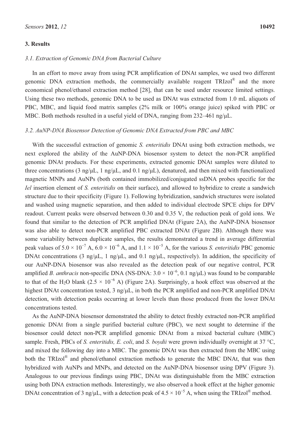### **3. Results**

In an effort to move away from using PCR amplification of DNAt samples, we used two different genomic DNA extraction methods, the commercially available reagent TRIzol® and the more economical phenol/ethanol extraction method [28], that can be used under resource limited settings. Using these two methods, genomic DNA to be used as DNAt was extracted from 1.0 mL aliquots of PBC, MBC, and liquid food matrix samples (2% milk or 100% orange juice) spiked with PBC or MBC. Both methods resulted in a useful yield of DNA, ranging from  $232-461$  ng/ $\mu$ L.

#### *3.2. AuNP-DNA Biosensor Detection of Genomic DNA Extracted from PBC and MBC*

With the successful extraction of genomic *S. enteritidis* DNAt using both extraction methods, we next explored the ability of the AuNP-DNA biosensor system to detect the non-PCR amplified genomic DNAt products. For these experiments, extracted genomic DNAt samples were diluted to three concentrations (3 ng/ $\mu$ L, 1 ng/ $\mu$ L, and 0.1 ng/ $\mu$ L), denatured, and then mixed with functionalized magnetic MNPs and AuNPs (both contained immobilized/conjugated ssDNA probes specific for the *Iel* insertion element of *S. enteritidis* on their surface), and allowed to hybridize to create a sandwich structure due to their specificity (Figure 1). Following hybridization, sandwich structures were isolated and washed using magnetic separation, and then added to individual electrode SPCE chips for DPV readout. Current peaks were observed between 0.30 and 0.35 V, the reduction peak of gold ions. We found that similar to the detection of PCR amplified DNAt (Figure 2A), the AuNP-DNA biosensor was also able to detect non-PCR amplified PBC extracted DNAt (Figure 2B). Although there was some variability between duplicate samples, the results demonstrated a trend in average differential peak values of  $5.0 \times 10^{-7}$  A,  $6.0 \times 10^{-6}$  A, and  $1.1 \times 10^{-5}$  A, for the various *S. enteritidis* PBC genomic DNAt concentrations (3 ng/ $\mu$ L, 1 ng/ $\mu$ L, and 0.1 ng/ $\mu$ L, respectively). In addition, the specificity of our AuNP-DNA biosensor was also revealed as the detection peak of our negative control, PCR amplified *B. anthracis* non-specific DNA (NS-DNA:  $3.0 \times 10^{-6}$ , 0.1 ng/ $\mu$ L) was found to be comparable to that of the H<sub>2</sub>O blank (2.5  $\times$  10<sup>-6</sup> A) (Figure 2A). Surprisingly, a hook effect was observed at the highest DNAt concentration tested, 3 ng/ $\mu$ L, in both the PCR amplified and non-PCR amplified DNAt detection, with detection peaks occurring at lower levels than those produced from the lower DNAt concentrations tested.

As the AuNP-DNA biosensor demonstrated the ability to detect freshly extracted non-PCR amplified genomic DNAt from a single purified bacterial culture (PBC), we next sought to determine if the biosensor could detect non-PCR amplified genomic DNAt from a mixed bacterial culture (MBC) sample. Fresh, PBCs of *S. enteritidis, E. coli*, and *S. boydii* were grown individually overnight at 37 °C, and mixed the following day into a MBC. The genomic DNAt was then extracted from the MBC using both the TRIzol® and phenol/ethanol extraction methods to generate the MBC DNAt, that was then hybridized with AuNPs and MNPs, and detected on the AuNP-DNA biosensor using DPV (Figure 3). Analogous to our previous findings using PBC, DNAt was distinguishable from the MBC extraction using both DNA extraction methods. Interestingly, we also observed a hook effect at the higher genomic DNAt concentration of 3 ng/ $\mu$ L, with a detection peak of 4.5  $\times$  10<sup>-5</sup> A, when using the TRIzol<sup>®</sup> method.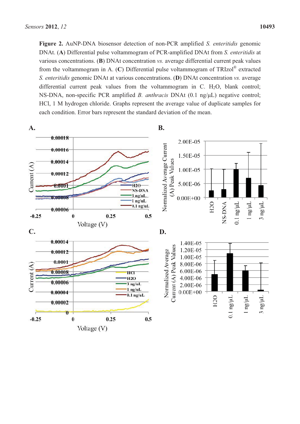**Figure 2.** AuNP-DNA biosensor detection of non-PCR amplified *S. enteritidis* genomic DNAt. (**A**) Differential pulse voltammogram of PCR-amplified DNAt from *S. enteritidis* at various concentrations. (**B**) DNAt concentration *vs.* average differential current peak values from the voltammogram in A. (**C**) Differential pulse voltammogram of TRIzol® extracted *S. enteritidis* genomic DNAt at various concentrations. (**D**) DNAt concentration *vs.* average differential current peak values from the voltammogram in C.  $H_2O$ , blank control; NS-DNA, non-specific PCR amplified *B. anthracis* DNAt (0.1 ng/µL) negative control; HCl, 1 M hydrogen chloride. Graphs represent the average value of duplicate samples for each condition. Error bars represent the standard deviation of the mean.

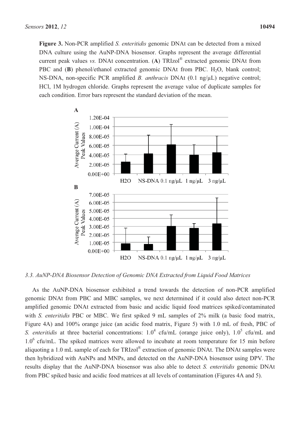**Figure 3.** Non-PCR amplified *S. enteritidis* genomic DNAt can be detected from a mixed DNA culture using the AuNP-DNA biosensor. Graphs represent the average differential current peak values *vs.* DNAt concentration. (**A**) TRIzol® extracted genomic DNAt from PBC and (**B**) phenol/ethanol extracted genomic DNAt from PBC. H<sub>2</sub>O, blank control; NS-DNA, non-specific PCR amplified *B. anthracis* DNAt (0.1 ng/μL) negative control; HCl, 1M hydrogen chloride. Graphs represent the average value of duplicate samples for each condition. Error bars represent the standard deviation of the mean.



*3.3. AuNP-DNA Biosensor Detection of Genomic DNA Extracted from Liquid Food Matrices* 

As the AuNP-DNA biosensor exhibited a trend towards the detection of non-PCR amplified genomic DNAt from PBC and MBC samples, we next determined if it could also detect non-PCR amplified genomic DNAt extracted from basic and acidic liquid food matrices spiked/contaminated with *S. enteritidis* PBC or MBC. We first spiked 9 mL samples of 2% milk (a basic food matrix, Figure 4A) and 100% orange juice (an acidic food matrix, Figure 5) with 1.0 mL of fresh, PBC of *S. enteritidis* at three bacterial concentrations:  $1.0^4$  cfu/mL (orange juice only),  $1.0^5$  cfu/mL and 1.0<sup>6</sup> cfu/mL. The spiked matrices were allowed to incubate at room temperature for 15 min before aliquoting a 1.0 mL sample of each for TRIzol® extraction of genomic DNAt. The DNAt samples were then hybridized with AuNPs and MNPs, and detected on the AuNP-DNA biosensor using DPV. The results display that the AuNP-DNA biosensor was also able to detect *S. enteritidis* genomic DNAt from PBC spiked basic and acidic food matrices at all levels of contamination (Figures 4A and 5).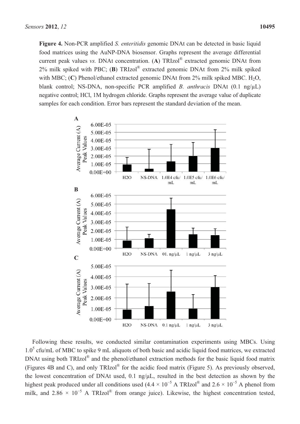**Figure 4.** Non-PCR amplified *S. enteritidis* genomic DNAt can be detected in basic liquid food matrices using the AuNP-DNA biosensor. Graphs represent the average differential current peak values *vs.* DNAt concentration. (**A**) TRIzol® extracted genomic DNAt from 2% milk spiked with PBC; (**B**) TRIzol® extracted genomic DNAt from 2% milk spiked with MBC;  $(C)$  Phenol/ethanol extracted genomic DNAt from  $2\%$  milk spiked MBC. H<sub>2</sub>O, blank control; NS-DNA, non-specific PCR amplified *B. anthracis* DNAt (0.1 ng/μL) negative control; HCl, 1M hydrogen chloride. Graphs represent the average value of duplicate samples for each condition. Error bars represent the standard deviation of the mean.



Following these results, we conducted similar contamination experiments using MBCs. Using 1.0<sup>5</sup> cfu/mL of MBC to spike 9 mL aliquots of both basic and acidic liquid food matrices, we extracted DNAt using both TRIzol<sup>®</sup> and the phenol/ethanol extraction methods for the basic liquid food matrix (Figures 4B and C), and only TRIzol® for the acidic food matrix (Figure 5). As previously observed, the lowest concentration of DNAt used,  $0.1$  ng/ $\mu$ L, resulted in the best detection as shown by the highest peak produced under all conditions used  $(4.4 \times 10^{-5} \text{ A TRIzol}^{\circ\circ}$  and  $2.6 \times 10^{-5} \text{ A}$  phenol from milk, and  $2.86 \times 10^{-5}$  A TRIzol<sup>®</sup> from orange juice). Likewise, the highest concentration tested,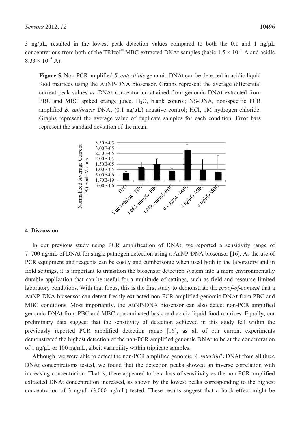3 ng/ $\mu$ L, resulted in the lowest peak detection values compared to both the 0.1 and 1 ng/ $\mu$ L concentrations from both of the TRIzol® MBC extracted DNAt samples (basic  $1.5 \times 10^{-5}$  A and acidic  $8.33 \times 10^{-6}$  A).

**Figure 5.** Non-PCR amplified *S. enteritidis* genomic DNAt can be detected in acidic liquid food matrices using the AuNP-DNA biosensor. Graphs represent the average differential current peak values *vs.* DNAt concentration attained from genomic DNAt extracted from PBC and MBC spiked orange juice.  $H_2O$ , blank control; NS-DNA, non-specific PCR amplified *B. anthracis* DNAt (0.1 ng/μL) negative control; HCl, 1M hydrogen chloride. Graphs represent the average value of duplicate samples for each condition. Error bars represent the standard deviation of the mean.



#### **4. Discussion**

In our previous study using PCR amplification of DNAt, we reported a sensitivity range of 7–700 ng/mL of DNAt for single pathogen detection using a AuNP-DNA biosensor [16]. As the use of PCR equipment and reagents can be costly and cumbersome when used both in the laboratory and in field settings, it is important to transition the biosensor detection system into a more environmentally durable application that can be useful for a multitude of settings, such as field and resource limited laboratory conditions. With that focus, this is the first study to demonstrate the *proof-of-concept* that a AuNP-DNA biosensor can detect freshly extracted non-PCR amplified genomic DNAt from PBC and MBC conditions. Most importantly, the AuNP-DNA biosensor can also detect non-PCR amplified genomic DNAt from PBC and MBC contaminated basic and acidic liquid food matrices. Equally, our preliminary data suggest that the sensitivity of detection achieved in this study fell within the previously reported PCR amplified detection range [16], as all of our current experiments demonstrated the highest detection of the non-PCR amplified genomic DNAt to be at the concentration of 1 ng/ $\mu$ L or 100 ng/mL, albeit variability within triplicate samples.

Although, we were able to detect the non-PCR amplified genomic *S. enteritidis* DNAt from all three DNAt concentrations tested, we found that the detection peaks showed an inverse correlation with increasing concentration. That is, there appeared to be a loss of sensitivity as the non-PCR amplified extracted DNAt concentration increased, as shown by the lowest peaks corresponding to the highest concentration of 3 ng/ $\mu$ L (3,000 ng/mL) tested. These results suggest that a hook effect might be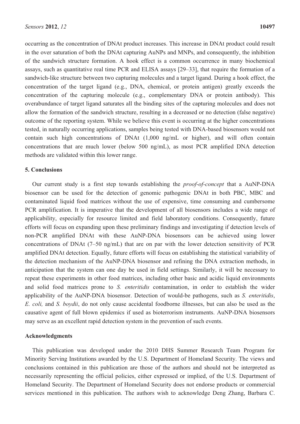occurring as the concentration of DNAt product increases. This increase in DNAt product could result in the over saturation of both the DNAt capturing AuNPs and MNPs, and consequently, the inhibition of the sandwich structure formation. A hook effect is a common occurrence in many biochemical assays, such as quantitative real time PCR and ELISA assays [29–33], that require the formation of a sandwich-like structure between two capturing molecules and a target ligand. During a hook effect, the concentration of the target ligand (e.g., DNA, chemical, or protein antigen) greatly exceeds the concentration of the capturing molecule (e.g., complementary DNA or protein antibody). This overabundance of target ligand saturates all the binding sites of the capturing molecules and does not allow the formation of the sandwich structure, resulting in a decreased or no detection (false negative) outcome of the reporting system. While we believe this event is occurring at the higher concentrations tested, in naturally occurring applications, samples being tested with DNA-based biosensors would not contain such high concentrations of DNAt (1,000 ng/mL or higher), and will often contain concentrations that are much lower (below 500 ng/mL), as most PCR amplified DNA detection methods are validated within this lower range.

#### **5. Conclusions**

Our current study is a first step towards establishing the *proof-of-concept* that a AuNP-DNA biosensor can be used for the detection of genomic pathogenic DNAt in both PBC, MBC and contaminated liquid food matrices without the use of expensive, time consuming and cumbersome PCR amplification. It is imperative that the development of all biosensors includes a wide range of applicability, especially for resource limited and field laboratory conditions. Consequently, future efforts will focus on expanding upon these preliminary findings and investigating if detection levels of non-PCR amplified DNAt with these AuNP-DNA biosensors can be achieved using lower concentrations of DNAt (7–50 ng/mL) that are on par with the lower detection sensitivity of PCR amplified DNAt detection. Equally, future efforts will focus on establishing the statistical variability of the detection mechanism of the AuNP-DNA biosensor and refining the DNA extraction methods, in anticipation that the system can one day be used in field settings. Similarly, it will be necessary to repeat these experiments in other food matrices, including other basic and acidic liquid environments and solid food matrices prone to *S. enteritidis* contamination, in order to establish the wider applicability of the AuNP-DNA biosensor. Detection of would-be pathogens, such as *S. enteritidis*, *E. coli,* and *S. boydii*, do not only cause accidental foodborne illnesses, but can also be used as the causative agent of full blown epidemics if used as bioterrorism instruments. AuNP-DNA biosensors may serve as an excellent rapid detection system in the prevention of such events.

#### **Acknowledgments**

This publication was developed under the 2010 DHS Summer Research Team Program for Minority Serving Institutions awarded by the U.S. Department of Homeland Security. The views and conclusions contained in this publication are those of the authors and should not be interpreted as necessarily representing the official policies, either expressed or implied, of the U.S. Department of Homeland Security. The Department of Homeland Security does not endorse products or commercial services mentioned in this publication. The authors wish to acknowledge Deng Zhang, Barbara C.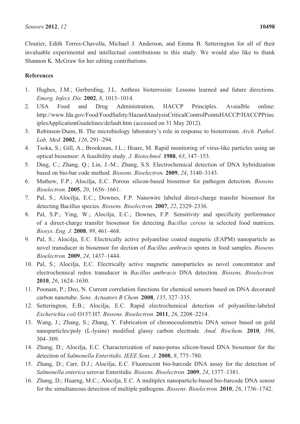Cloutier, Edith Torres-Chavolla, Michael J. Anderson, and Emma B. Setterington for all of their invaluable experimental and intellectual contributions to this study. We would also like to thank Shannon K. McGraw for her editing contributions.

## **References**

- 1. Hughes, J.M.; Gerberding, J.L. Anthrax bioterrosim: Lessons learned and future directions. *Emerg. Infect. Dis.* **2002**, *8*, 1013–1014.
- 2. USA Food and Drug Administration, HACCP Principles. Avaialble online: http://www.fda.gov/Food/FoodSafety/HazardAnalysisCriticalControlPointsHACCP/HACCPPrinc iplesApplicationGuidelines/default.htm (accessed on 31 May 2012).
- 3. Robinson-Dunn, B. The microbiology laboratory's role in response to bioterroism. *Arch. Pathol. Lab. Med.* **2002**, *126*, 291–294.
- 4. Tsoka, S.; Gill, A.; Brookman, J.L.; Hoare, M. Rapid monitoring of virus-like particles using an optical biosensor: A feasibility study. *J. Biotechnol.* **1988**, *63*, 147–153.
- 5. Ding, C.; Zhang, Q.; Lin, J.-M.; Zhang, S.S. Electrochemical detection of DNA hybridization based on bio-bar code method. *Biosens. Bioelectron.* **2009**, *24*, 3140–3143.
- 6. Mathew, F.P.; Alocilja, E.C. Porous silicon-based biosensor for pathogen detection. *Biosens. Bioelectron.* **2005**, *20*, 1656–1661.
- 7. Pal, S.; Alocilja, E.C.; Downes, F.P. Nanowire labeled direct-charge transfer biosensor for detecting Bacillus species. *Biosens. Bioelectron.* **2007**, *22*, 2329–2336.
- 8. Pal, S.P.; Ying, W.; Alocilja, E.C.; Downes, F.P. Sensitivity and specificity performance of a direct-charge transfer biosensor for detecting *Bacillus cereus* in selected food matrices. *Biosys. Eng. J.* **2008**, *99*, 461–468.
- 9. Pal, S.; Alocilja, E.C. Electrically active polyaniline coated magnetic (EAPM) nanoparticle as novel transducer in biosensor for dection of *Bacillus anthracis* spores in food samples. *Biosens. Bioelectron.* **2009**, *24*, 1437–1444.
- 10. Pal, S.; Alocilja, E.C. Electrically active magnetic nanoparticles as novel concentrator and electrochemical redox transducer in *Bacillus anthracis* DNA detection. *Biosens. Bioelectron.* **2010**, *26*, 1624–1630.
- 11. Poonam, P.; Deo, N. Current correlation functions for chemical sensors based on DNA decorated carbon nanotube. *Sens. Actuators B Chem.* **2008**, *135*, 327–335.
- 12. Setterington, E.B.; Alocilja, E.C. Rapid electrochemical detection of polyaniline-labeled *Escherichia coli* O157:H7. *Biosens. Bioelectron.* **2011**, *26*, 2208–2214.
- 13. Wang, J.; Zhang, S.; Zhang, Y. Fabrication of chronocoulometric DNA sensor based on gold nanoparticles/poly (L-lysine) modified glassy carbon electrode. *Anal. Biochem.* **2010**, *396*, 304–309.
- 14. Zhang, D.; Alocilja, E.C. Characterization of nano-porus silicon-based DNA biosensor for the detection of *Salmonella Enteritidis*. *IEEE Sens. J.* **2008**, *8*, 775–780.
- 15. Zhang, D.; Carr, D.J.; Alocilja, E.C. Fluorescent bio-barcode DNA assay for the detection of *Salmonella enterica* serovar Enteritidis. *Biosens. Bioelectron.* **2009**, *24*, 1377–1381.
- 16. Zhang, D.; Huarng, M.C.; Alocilja, E.C. A multiplex nanoparticle-based bio-barcode DNA senosr for the simultaneous detection of multiple pathogens. *Biosens. Bioelectron.* **2010**, *26*, 1736–1742.